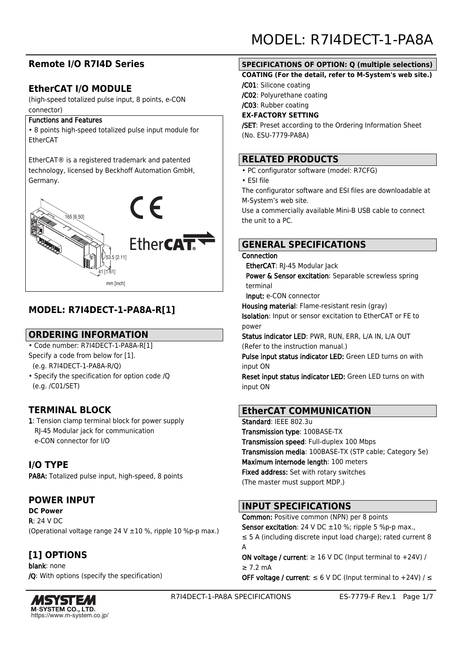## **Remote I/O R7I4D Series**

## **EtherCAT I/O MODULE**

(high-speed totalized pulse input, 8 points, e-CON connector)

#### Functions and Features

• 8 points high-speed totalized pulse input module for EtherCAT

EtherCAT® is a registered trademark and patented technology, licensed by Beckhoff Automation GmbH, Germany.



## **MODEL: R7I4DECT-1-PA8A-R[1]**

## **ORDERING INFORMATION**

- Code number: R7I4DECT-1-PA8A-R[1] Specify a code from below for [1].
- (e.g. R7I4DECT-1-PA8A-R/Q)
- Specify the specification for option code /Q (e.g. /C01/SET)

## **TERMINAL BLOCK**

1: Tension clamp terminal block for power supply RJ-45 Modular jack for communication e-CON connector for I/O

## **I/O TYPE**

PA8A: Totalized pulse input, high-speed, 8 points

## **POWER INPUT**

**DC Power** R: 24 V DC (Operational voltage range 24 V ±10 %, ripple 10 %p-p max.)

## **[1] OPTIONS**

blank: none /Q: With options (specify the specification)



MODEL: R7I4DECT-1-PA8A

### **SPECIFICATIONS OF OPTION: Q (multiple selections)**

#### **COATING (For the detail, refer to M-System's web site.)**

/C01: Silicone coating

/C02: Polyurethane coating

/C03: Rubber coating

#### **EX-FACTORY SETTING**

/SET: Preset according to the Ordering Information Sheet (No. ESU-7779-PA8A)

### **RELATED PRODUCTS**

- PC configurator software (model: R7CFG)
- ESI file

The configurator software and ESI files are downloadable at M-System's web site.

Use a commercially available Mini-B USB cable to connect the unit to a PC.

## **GENERAL SPECIFICATIONS**

#### Connection

EtherCAT: RI-45 Modular Jack

Power & Sensor excitation: Separable screwless spring terminal

Input: e-CON connector

Housing material: Flame-resistant resin (gray) Isolation: Input or sensor excitation to EtherCAT or FE to power

Status indicator LED: PWR, RUN, ERR, L/A IN, L/A OUT (Refer to the instruction manual.)

Pulse input status indicator LED: Green LED turns on with input ON

Reset input status indicator LED: Green LED turns on with input ON

## **EtherCAT COMMUNICATION**

Standard: IFFF 802.3u Transmission type: 100BASE-TX Transmission speed: Full-duplex 100 Mbps Transmission media: 100BASE-TX (STP cable; Category 5e) Maximum internode length: 100 meters Fixed address: Set with rotary switches (The master must support MDP.)

## **INPUT SPECIFICATIONS**

Common: Positive common (NPN) per 8 points **Sensor excitation**: 24 V DC  $\pm 10$  %; ripple 5 %p-p max., ≤ 5 A (including discrete input load charge); rated current 8 A

ON voltage / current:  $\geq 16$  V DC (Input terminal to +24V) / ≥ 7.2 mA

OFF voltage / current:  $\leq 6$  V DC (Input terminal to +24V) /  $\leq$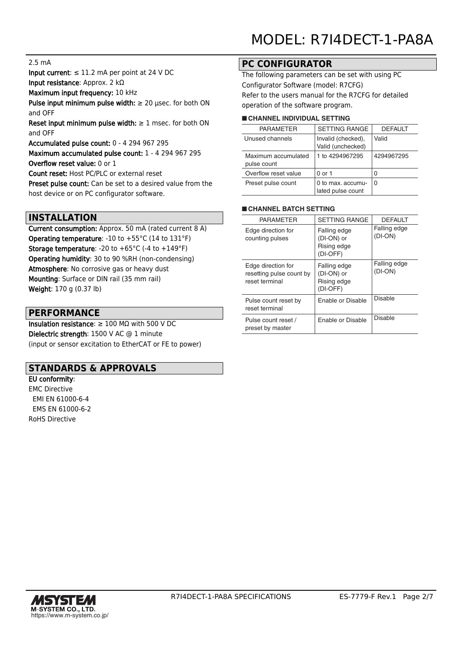#### 2.5 mA

Input current:  $\leq 11.2$  mA per point at 24 V DC Input resistance: Approx. 2 kΩ

Maximum input frequency: 10 kHz

Pulse input minimum pulse width:  $\geq 20$  usec. for both ON and OFF

Reset input minimum pulse width:  $\geq 1$  msec. for both ON and OFF

Accumulated pulse count: 0 - 4 294 967 295

Maximum accumulated pulse count: 1 - 4 294 967 295 Overflow reset value: 0 or 1

Count reset: Host PC/PLC or external reset

Preset pulse count: Can be set to a desired value from the host device or on PC configurator software.

### **INSTALLATION**

Current consumption: Approx. 50 mA (rated current 8 A) Operating temperature: -10 to +55°C (14 to 131°F) **Storage temperature:** -20 to  $+65^{\circ}$ C (-4 to  $+149^{\circ}$ F) Operating humidity: 30 to 90 %RH (non-condensing) Atmosphere: No corrosive gas or heavy dust Mounting: Surface or DIN rail (35 mm rail) Weight: 170 g (0.37 lb)

#### **PERFORMANCE**

Insulation resistance:  $\geq 100$  M $\Omega$  with 500 V DC Dielectric strength: 1500 V AC @ 1 minute (input or sensor excitation to EtherCAT or FE to power)

### **STANDARDS & APPROVALS**

EU conformity: EMC Directive EMI EN 61000-6-4 EMS EN 61000-6-2 RoHS Directive

### **PC CONFIGURATOR**

The following parameters can be set with using PC Configurator Software (model: R7CFG) Refer to the users manual for the R7CFG for detailed operation of the software program.

#### ■ **CHANNEL INDIVIDUAL SETTING**

| <b>PARAMETER</b>                   | <b>SETTING RANGE</b>                    | <b>DEFAULT</b> |  |  |  |  |  |
|------------------------------------|-----------------------------------------|----------------|--|--|--|--|--|
| Unused channels                    | Invalid (checked),<br>Valid (unchecked) | Valid          |  |  |  |  |  |
| Maximum accumulated<br>pulse count | 1 to 4294967295                         | 4294967295     |  |  |  |  |  |
| Overflow reset value               | 0 or 1                                  |                |  |  |  |  |  |
| Preset pulse count                 | 0 to max. accumu-<br>lated pulse count  | O              |  |  |  |  |  |

#### ■ **CHANNEL BATCH SETTING**

| <b>PARAMETER</b>                                                 | <b>SETTING RANGE</b>                                  | <b>DEFAULT</b>            |
|------------------------------------------------------------------|-------------------------------------------------------|---------------------------|
| Edge direction for<br>counting pulses                            | Falling edge<br>(DI-ON) or<br>Rising edge<br>(DI-OFF) | Falling edge<br>$(DI-ON)$ |
| Edge direction for<br>resetting pulse count by<br>reset terminal | Falling edge<br>(DI-ON) or<br>Rising edge<br>(DI-OFF) | Falling edge<br>$(DI-ON)$ |
| Pulse count reset by<br>reset terminal                           | <b>Enable or Disable</b>                              | <b>Disable</b>            |
| Pulse count reset /<br>preset by master                          | Enable or Disable                                     | <b>Disable</b>            |

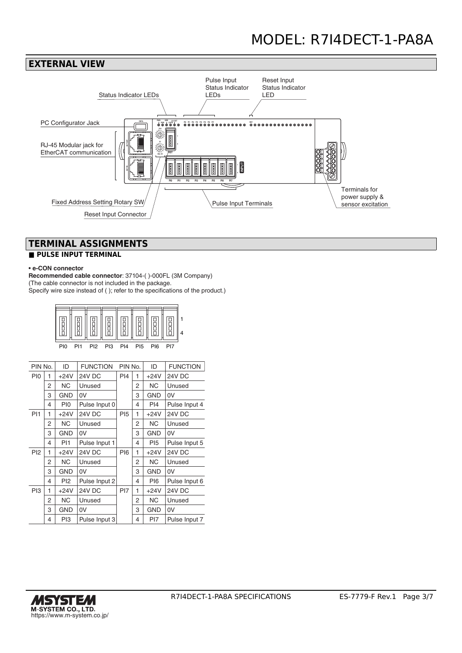



## **TERMINAL ASSIGNMENTS**

### **■ PULSE INPUT TERMINAL**

#### • **e-CON connector**

**Recommended cable connector**: 37104-( )-000FL (3M Company) (The cable connector is not included in the package. Specify wire size instead of ( ); refer to the specifications of the product.)

| P <sub>I0</sub> | <b>PI1</b> | PI <sub>2</sub> | PI3 PI4 | <b>PI5</b> | PI6 | PI7 |  |
|-----------------|------------|-----------------|---------|------------|-----|-----|--|
|                 |            |                 |         |            |     |     |  |

| PIN No.         |   | <b>FUNCTION</b><br>ID |               | PIN No.         |   | ID              | <b>FUNCTION</b> |
|-----------------|---|-----------------------|---------------|-----------------|---|-----------------|-----------------|
| PI <sub>0</sub> | 1 | $+24V$                | 24V DC<br>PI4 |                 | 1 | $+24V$          | <b>24V DC</b>   |
|                 | 2 | NС                    | Unused        |                 | 2 | <b>NC</b>       | Unused          |
|                 | 3 | <b>GND</b>            | 0V            |                 | 3 | <b>GND</b>      | 0V              |
|                 | 4 | PI0                   | Pulse Input 0 |                 | 4 | PI4             | Pulse Input 4   |
| PI1             | 1 | $+24V$                | 24V DC        | <b>PI5</b>      | 1 | $+24V$          | 24V DC          |
|                 | 2 | <b>NC</b>             | Unused        |                 | 2 | <b>NC</b>       | Unused          |
|                 | 3 | <b>GND</b>            | 0V            |                 | 3 | <b>GND</b>      | 0V              |
|                 | 4 | PI1                   | Pulse Input 1 |                 | 4 | PI <sub>5</sub> | Pulse Input 5   |
| PI <sub>2</sub> | 1 | $+24V$                | 24V DC        | <b>PI6</b>      | 1 | $+24V$          | 24V DC          |
|                 | 2 | <b>NC</b>             | Unused        |                 | 2 | <b>NC</b>       | Unused          |
|                 | 3 | <b>GND</b>            | 0V            |                 | 3 | <b>GND</b>      | 0V              |
|                 | 4 | PI2                   | Pulse Input 2 |                 | 4 | PI6             | Pulse Input 6   |
| PI3             | 1 | $+24V$                | 24V DC        | P <sub>17</sub> | 1 | $+24V$          | 24V DC          |
|                 | 2 | <b>NC</b>             | Unused        |                 | 2 | <b>NC</b>       | Unused          |
|                 | 3 | <b>GND</b>            | 0V            |                 | 3 | <b>GND</b>      | 0V              |
|                 | 4 | PI3                   | Pulse Input 3 |                 | 4 | PI7             | Pulse Input 7   |

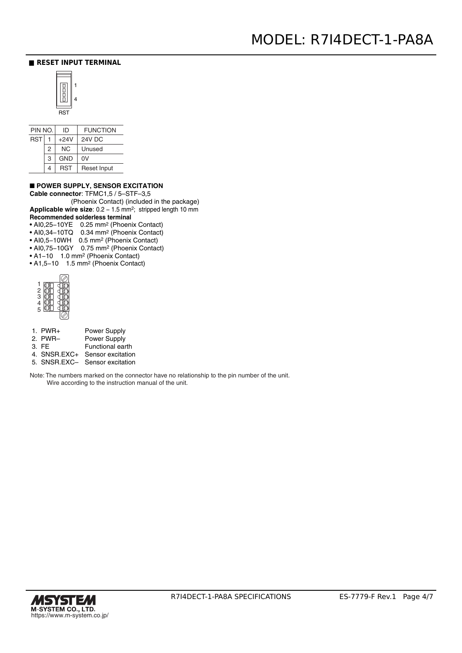#### **■ RESET INPUT TERMINAL**



| PIN NO.    |   | ID         | <b>FUNCTION</b>    |
|------------|---|------------|--------------------|
| <b>RST</b> |   | $+24V$     | <b>24V DC</b>      |
|            | 2 | <b>NC</b>  | Unused             |
|            | 3 | <b>GND</b> | 0V                 |
|            | 4 | RST        | <b>Reset Input</b> |

#### ■ **POWER SUPPLY, SENSOR EXCITATION**

**Cable connector**: TFMC1,5 / 5–STF–3,5

 (Phoenix Contact) (included in the package) Applicable wire size: 0.2 - 1.5 mm<sup>2</sup>; stripped length 10 mm **Recommended solderless terminal** 

- AI0,25−10YE 0.25 mm2 (Phoenix Contact)
- AI0,34−10TQ 0.34 mm2 (Phoenix Contact)
- AI0,5−10WH 0.5 mm2 (Phoenix Contact)
- AI0,75−10GY 0.75 mm2 (Phoenix Contact)
- A1−10 1.0 mm2 (Phoenix Contact) • A1,5−10 1.5 mm2 (Phoenix Contact)



- 1. PWR+ 2. PWR– 3. FE 4. SNSR.EXC+ Sensor excitation Power Supply Power Supply Functional earth
- 5. SNSR.EXC– Sensor excitation

Note: The numbers marked on the connector have no relationship to the pin number of the unit. Wire according to the instruction manual of the unit.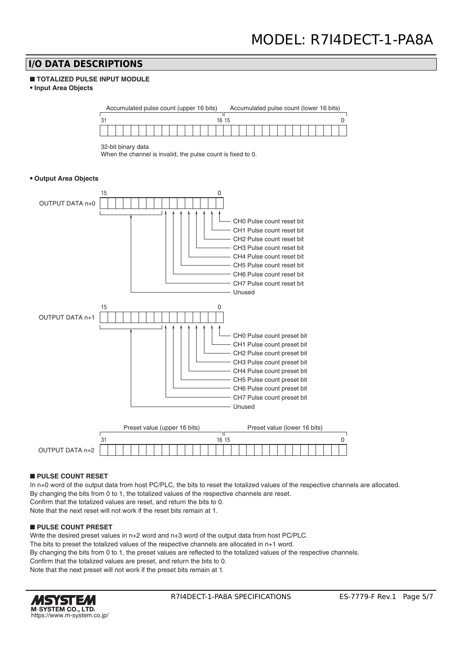### **I/O DATA DESCRIPTIONS**

#### ■ **TOTALIZED PULSE INPUT MODULE**

**• Input Area Objects**

Accumulated pulse count (upper 16 bits) Accumulated pulse count (lower 16 bits)

| 16.15<br>ن ا |  |  |  |  |  |  |  |  |  |  |  |  |  |  |  |  |  |  |  |  |  |  |  |  |  |  |  |  |  |
|--------------|--|--|--|--|--|--|--|--|--|--|--|--|--|--|--|--|--|--|--|--|--|--|--|--|--|--|--|--|--|
|              |  |  |  |  |  |  |  |  |  |  |  |  |  |  |  |  |  |  |  |  |  |  |  |  |  |  |  |  |  |

32-bit binary data

When the channel is invalid, the pulse count is fixed to 0.

#### **• Output Area Objects**



#### ■ **PULSE COUNT RESET**

In n+0 word of the output data from host PC/PLC, the bits to reset the totalized values of the respective channels are allocated. By changing the bits from 0 to 1, the totalized values of the respective channels are reset. Confirm that the totalized values are reset, and return the bits to 0. Note that the next reset will not work if the reset bits remain at 1.

#### ■ **PULSE COUNT PRESET**

Write the desired preset values in n+2 word and n+3 word of the output data from host PC/PLC. The bits to preset the totalized values of the respective channels are allocated in n+1 word. By changing the bits from 0 to 1, the preset values are reflected to the totalized values of the respective channels. Confirm that the totalized values are preset, and return the bits to 0. Note that the next preset will not work if the preset bits remain at 1.

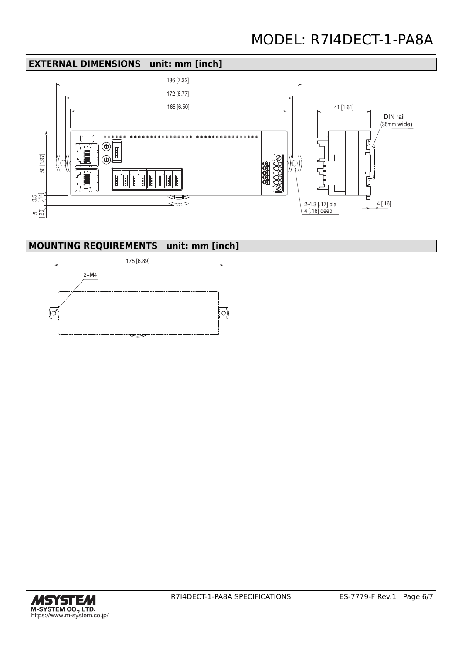## **EXTERNAL DIMENSIONS unit: mm [inch]**



## **MOUNTING REQUIREMENTS unit: mm [inch]**